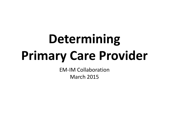# **Determining Primary Care Provider**

EM-IM Collaboration March 2015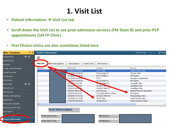## **1. Visit List**

- Patient Information  $\rightarrow$  Visit List tab
- **Scroll down the Visit List to see prior admission services (FM Team B) and prior PCP appointments (UH FP Clinic)**
- **First Choice clinics are also sometimes listed here**

| $7 - 4$<br>Menu - Emergency  | <b>Patient Information</b>                                                        | $\Box$ Full screen $\Box$ Print<br>$\mathcal{L}$ 0 minul |  |
|------------------------------|-----------------------------------------------------------------------------------|----------------------------------------------------------|--|
| $#$ Add<br>PowerNote ED      | 國                                                                                 |                                                          |  |
| Results Review               |                                                                                   |                                                          |  |
| Flowsheet                    | Visit List<br>atient Demographics<br>Growth Chart<br>PPR Summary<br>Immunizations |                                                          |  |
| Provider Outpt Flowsheet     | Selected<br>Admit Date<br>Location                                                | Service                                                  |  |
| Consult Flowsheet            | 2/25/2015 09:20:00<br>x<br>UH FP Clinic                                           | Family Practice Clinic                                   |  |
|                              | 133/2015 10:00:00<br>UH Surg Spec Cl<br>UH 7-5 0706 01                            | Thoracic Clinic                                          |  |
| Form Browser                 | 2/19/2015 55:00<br>P E-D<br>2/17/2015 01:28:06-                                   | FM Team B<br><b>Emergency Department</b>                 |  |
| Clinical Notes               | 243/2015 04:46:00<br>UH 3-N 0352 01                                               | FM Team B                                                |  |
| $+$ Add                      | 2/9/2.15 13:51:00<br><b>Disk and Mgmt Svc</b>                                     | Coumadin Clinic                                          |  |
| PowerOrders                  | UH SACC MELTIC<br>2/9/2015 - 43:00                                                | Cardiology Clinic                                        |  |
| Medication List              | 2/4/2015 08:57 90<br>UH SACC Med CIC                                              | Cardiology Clinic                                        |  |
| MAR Summary                  | 2/4/2015 08:53:00<br>UH Pt Access                                                 | Medical Record Transcription                             |  |
|                              | 2/3/2015 05:49:00<br>P E-D Inpt (EDIP) 1198 96                                    | FM Team B                                                |  |
| Problems and Diagnoses       | 1/29/2015 07:33:00<br>UH SACC Med CLB                                             | Rheumatology Clinic                                      |  |
| Appointments                 | UH FP Clinic<br>1/21/2015 14:12:00                                                | Family Practice Clinic                                   |  |
|                              | 1/19/2015 08:00:00<br>UH Med Arts 4                                               | Heart+Vascular Center                                    |  |
| <b>Immunization Schedule</b> |                                                                                   |                                                          |  |
| Advanced Growth Chart        |                                                                                   |                                                          |  |
| Chart Search                 | <b>Visit Information</b>                                                          |                                                          |  |
| Cuellin<br><b>ANTIQUES</b>   | Financial Number:<br>Attending Dr :                                               |                                                          |  |
| <b>Patient Information</b>   | Admit Date / Time :<br>Admitting Dr :                                             |                                                          |  |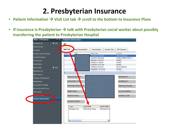#### **2. Presbyterian Insurance**

- Patient Information  $\rightarrow$  Visit List tab  $\rightarrow$  scroll to the bottom to Insurance Plans
- If insurance is Presbyterian  $\rightarrow$  talk with Presbyterian social worker about possibly **transferring the patient to Presbyterian Hospital**

| $\overline{\mathbf{v}}$ and $\overline{\mathbf{v}}$<br>Menu - Emergency | <b>Patient Information</b>                                                               |
|-------------------------------------------------------------------------|------------------------------------------------------------------------------------------|
| $+$ Add<br>PowerNote ED                                                 | 國                                                                                        |
| Results Review                                                          |                                                                                          |
| Flowsheet                                                               | <b>Visit List</b><br>atient Demographics<br>Growth Chart<br>Immunizations<br>PPR Summary |
| Provider Outpt Flowsheet                                                | FIN<br>Admit Date<br>Selected<br>Location                                                |
| Consult Flowsheet                                                       | x<br>1/13/2015 10:05:00<br>UH 5-W 0542 02                                                |
|                                                                         | 10/7/2013 08:06:00<br>P NSICU (NSIP) 2525 14                                             |
| Form Browser                                                            | 4/4/2012 14:07:00<br>UH NSC<br>4/4/2012 11:08:00<br>UH NSC                               |
| Clinical Notes                                                          | 1/18/2012 12:27:00<br>UH NSC                                                             |
|                                                                         | 1/9/2012 23:01:00<br>UH 5-S 0500 02                                                      |
| $+$ Add<br>PowerOrders                                                  | 12/20/2011 10:51:00<br>UH NSC                                                            |
| Medication List                                                         | ∢                                                                                        |
| MAR Summary                                                             |                                                                                          |
| Problems and Diagnoses                                                  | Financial Num <mark>b</mark> er :<br>Attending Dr :                                      |
| <b>Appointments</b>                                                     | Admit Date / Tim<br>Admitting Dr:                                                        |
| Immunization Schedule.                                                  | Discharge Disposi <mark>ti</mark> on :<br>Referring Provider:                            |
| Advanced Growth Chart                                                   |                                                                                          |
| Chart Search                                                            | Patient Type :<br>Accommodation :                                                        |
|                                                                         | Financial class :<br><b>Isolation Code:</b>                                              |
| <b>Patient Information</b>                                              |                                                                                          |
|                                                                         | Insurance Plans :                                                                        |
|                                                                         | <b>INSUR NAME</b><br>PLAN NAME<br>Type                                                   |
|                                                                         | Managed Care<br>Presbyterian Senior<br>Presbyterian Se                                   |
|                                                                         | ≯<br>$\left\vert \cdot\right\vert$<br>$\mathop{\mathrm{HH}}\nolimits$                    |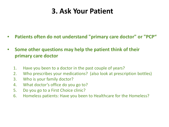#### **3. Ask Your Patient**

- **Patients often do not understand "primary care doctor" or "PCP"**
- **Some other questions may help the patient think of their primary care doctor**
	- 1. Have you been to a doctor in the past couple of years?
	- 2. Who prescribes your medications? (also look at prescription bottles)
	- 3. Who is your family doctor?
	- 4. What doctor's office do you go to?
	- 5. Do you go to a First Choice clinic?
	- 6. Homeless patients: Have you been to Healthcare for the Homeless?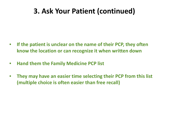#### **3. Ask Your Patient (continued)**

- **If the patient is unclear on the name of their PCP, they often know the location or can recognize it when written down**
- **Hand them the Family Medicine PCP list**
- **They may have an easier time selecting their PCP from this list (multiple choice is often easier than free recall)**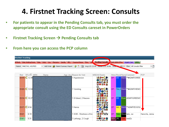### **4. Firstnet Tracking Screen: Consults**

- **For patients to appear in the Pending Consults tab, you must order the appropriate consult using the ED Consults careset in PowerOrders**
- **•** Firstnet Tracking Screen → Pending Consults tab
- **From here you can access the PCP column**

| <b>FirstNet Tracking</b>           |                                                                                                                                      |                                                                    |                                       |  |  |
|------------------------------------|--------------------------------------------------------------------------------------------------------------------------------------|--------------------------------------------------------------------|---------------------------------------|--|--|
| Main Waiting Room Main<br>All Beds | Peds Oso Manzano Sandia MEC Trauma+Resus Flow Ob Pending Consults Peds Admit+Flow Urgent Care SRMC                                   |                                                                    |                                       |  |  |
| Patient: MAESTAS, WILFRED          | ▼   Add Order G Patient Summary Report   S   19   Avg LOS: 21:49   Median LOS: 18:46   Totan S   WR: 0   Filter: All Consults Filter |                                                                    | $\cdot$ $\Box$                        |  |  |
|                                    |                                                                                                                                      |                                                                    |                                       |  |  |
| <b>SFLOS</b> MRN<br>Name<br>Bed    | Age   Acu  Reason for Visit                                                                                                          | MSEAII Events                                                      | Atten Resid Nurse Comment<br>PCP.     |  |  |
| EX19 / $\bigcirc$ 12:39            | 1:Hypotension                                                                                                                        | <b>biblo CAA</b><br>CP.<br>IDB.<br><b>Addded</b><br>Dede<br>₩♥⋻▎●点 | Makit ** #ADMIT/GREE                  |  |  |
| EX20 / $\bigcirc$ 12:04            | 1:Vomiting                                                                                                                           | <i>≜</i> ≫⊞€¥<br><b>CP</b><br>OÒ¥®u<br>的当点受问<br>icic I icic        | Tim; Makit ** #ADMIT/HEMO             |  |  |
| EX14 / C 10:27                     | 1:GI bleed, 2:Nauseal                                                                                                                | ådidio∰<br>CP.<br>DB.<br><b>Aujulia de</b><br>e luit<br>≥∛≛⊗       | Ryan ADMIT/GREEN/S                    |  |  |
| EX17 / $C$ 6:54                    | 1:Hernia                                                                                                                             | ∾⊂≞∗<br>CP.<br>. Jést<br>当替輩                                       | AA; KMakit **ADMIT/EGS/SA             |  |  |
| EX21<br>6:18                       | 1:SOB - Shortness of bre                                                                                                             | <b>yy olulu</b><br><b>CP</b><br><u>anan</u>                        | Nate Stove labs, sw<br>Hansche, Jenna |  |  |
| 5:31<br>EX41/                      | 1:Lethargy, 2:Cough-                                                                                                                 | Bê jo A<br>GEK URL<br><b>BIOBOTA</b>                               | Tami med2c                            |  |  |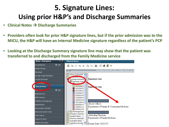# **5. Signature Lines: Using prior H&P's and Discharge Summaries**

- **Clinical Notes Discharge Summaries**
- **Providers often look for prior H&P signature lines, but if the prior admission was to the MICU, the H&P will have an Internal Medicine signature regardless of the patient's PCP**
- **Looking at the Discharge Summary signature line may show that the patient was transferred to and discharged from the Family Medicine service**

| $\overline{\mathbf{v}}$ and<br>Menu - Emergency | <b>Clinical Notes</b>                                               |
|-------------------------------------------------|---------------------------------------------------------------------|
| $+$ Add<br>PowerNote ED                         | 合 ≫ 第 Q X  B ≪  B   W +2 # ↓                                        |
| Results Review                                  |                                                                     |
| Flowsheet                                       | Saturday, March 06, 2010 - Friday, March 13, 20<br>▗▐▐▖             |
| Provider Outpt Flowsheet                        | History & Physicals                                                 |
| Consult Flowsheet                               | <b>ARCHIVER INC.</b><br><b>Signature Line</b><br>Discharge Summarie |
|                                                 | Discharge Summ                                                      |
| <b>ANTOYOWSER</b>                               | <b>MARIA MARIA AVE</b>                                              |
| <b>Clinical Notes</b>                           | 2/21/2015 1<br>Signa ve Line                                        |
| $+$ Add<br>Po <sub>m</sub>                      | $2/21/2015$ c<br>$2/21/2015$ C                                      |
| <b>Medication List</b>                          | 2/15/2015 C                                                         |
|                                                 | 2/3/2015 00                                                         |
| <b>MAR Summary</b>                              | 1/15/2015 2                                                         |
| Problems and Diagnoses                          | 1/6/2015 00<br>12/11/2014                                           |
| <b>Appointments</b>                             | House Officer<br>6/28/2014 C                                        |
| <b>Immunization Schedule</b>                    | Department of Family & Community Medicine<br>1/9/2014 11            |
|                                                 | 4/3/2013 00<br>Discharge/Trans                                      |
| Advanced Growth Chart                           | ⊞<br>Emergency Dept No                                              |
| Chart Search                                    | Attending Physician<br><b>Inpatient Notes</b>                       |
| Custom Pt Views                                 | Department of Family Medicine<br>Pharmacy Notes/DM                  |
| Patient Information                             | Outpatient Notes                                                    |
|                                                 | Operative Services<br>Dictate Date: 02/21/15                        |